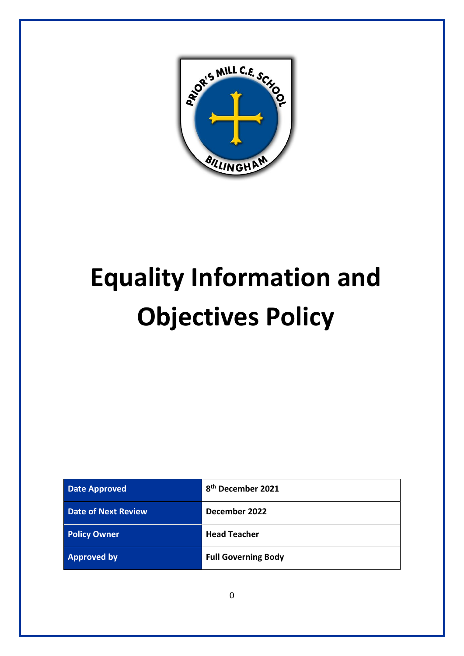

# **Equality Information and Objectives Policy**

| <b>Date Approved</b>       | 8 <sup>th</sup> December 2021 |
|----------------------------|-------------------------------|
| <b>Date of Next Review</b> | December 2022                 |
| <b>Policy Owner</b>        | <b>Head Teacher</b>           |
| <b>Approved by</b>         | <b>Full Governing Body</b>    |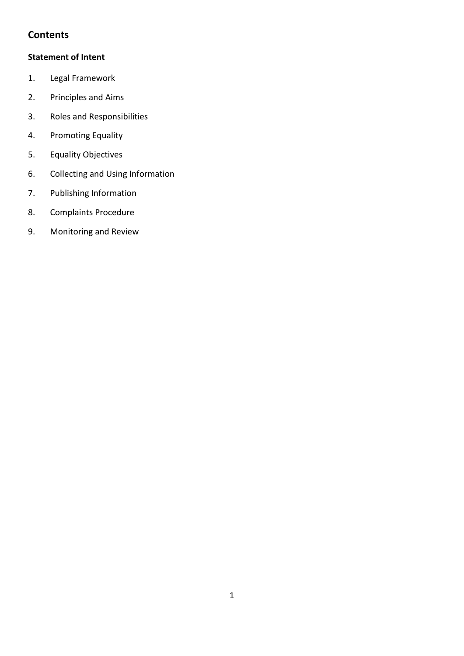#### **Contents**

#### **Statement of Intent**

- 1. Legal Framework
- 2. Principles and Aims
- 3. Roles and Responsibilities
- 4. Promoting Equality
- 5. Equality Objectives
- 6. Collecting and Using Information
- 7. Publishing Information
- 8. Complaints Procedure
- 9. Monitoring and Review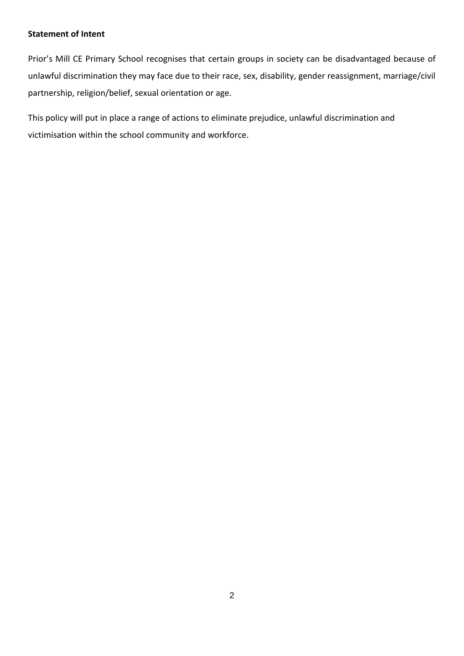#### **Statement of Intent**

Prior's Mill CE Primary School recognises that certain groups in society can be disadvantaged because of unlawful discrimination they may face due to their race, sex, disability, gender reassignment, marriage/civil partnership, religion/belief, sexual orientation or age.

This policy will put in place a range of actions to eliminate prejudice, unlawful discrimination and victimisation within the school community and workforce.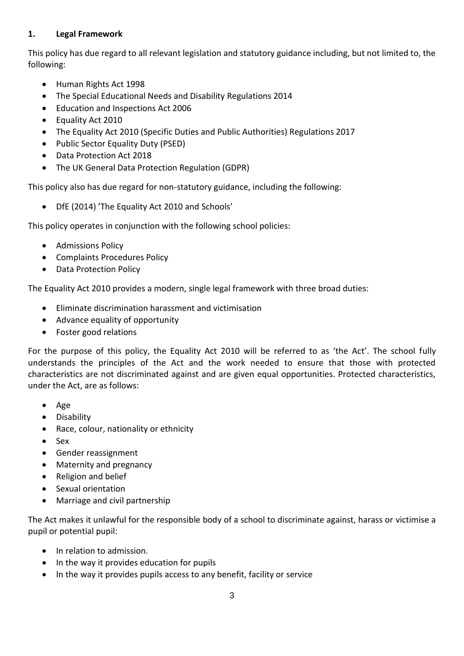#### **1. Legal Framework**

This policy has due regard to all relevant legislation and statutory guidance including, but not limited to, the following:

- Human Rights Act 1998
- The Special Educational Needs and Disability Regulations 2014
- Education and Inspections Act 2006
- Equality Act 2010
- The Equality Act 2010 (Specific Duties and Public Authorities) Regulations 2017
- Public Sector Equality Duty (PSED)
- Data Protection Act 2018
- The UK General Data Protection Regulation (GDPR)

This policy also has due regard for non-statutory guidance, including the following:

• DfE (2014) 'The Equality Act 2010 and Schools'

This policy operates in conjunction with the following school policies:

- Admissions Policy
- Complaints Procedures Policy
- Data Protection Policy

The Equality Act 2010 provides a modern, single legal framework with three broad duties:

- Eliminate discrimination harassment and victimisation
- Advance equality of opportunity
- Foster good relations

For the purpose of this policy, the Equality Act 2010 will be referred to as 'the Act'. The school fully understands the principles of the Act and the work needed to ensure that those with protected characteristics are not discriminated against and are given equal opportunities. Protected characteristics, under the Act, are as follows:

- Age
- Disability
- Race, colour, nationality or ethnicity
- Sex
- Gender reassignment
- Maternity and pregnancy
- Religion and belief
- Sexual orientation
- Marriage and civil partnership

The Act makes it unlawful for the responsible body of a school to discriminate against, harass or victimise a pupil or potential pupil:

- In relation to admission.
- In the way it provides education for pupils
- In the way it provides pupils access to any benefit, facility or service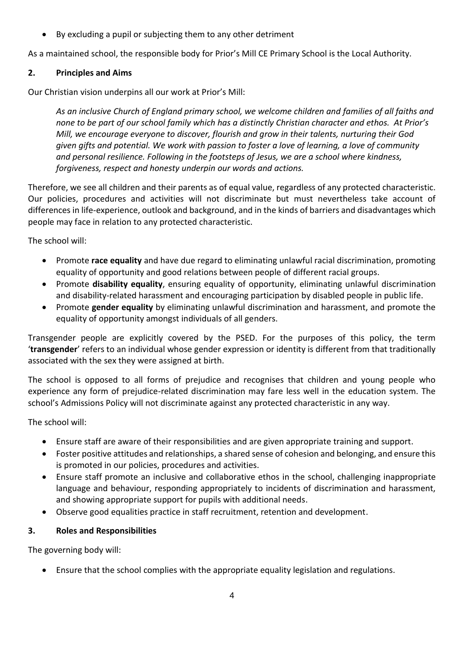• By excluding a pupil or subjecting them to any other detriment

As a maintained school, the responsible body for Prior's Mill CE Primary School is the Local Authority.

#### **2. Principles and Aims**

Our Christian vision underpins all our work at Prior's Mill:

*As an inclusive Church of England primary school, we welcome children and families of all faiths and none to be part of our school family which has a distinctly Christian character and ethos. At Prior's Mill, we encourage everyone to discover, flourish and grow in their talents, nurturing their God given gifts and potential. We work with passion to foster a love of learning, a love of community and personal resilience. Following in the footsteps of Jesus, we are a school where kindness, forgiveness, respect and honesty underpin our words and actions.*

Therefore, we see all children and their parents as of equal value, regardless of any protected characteristic. Our policies, procedures and activities will not discriminate but must nevertheless take account of differences in life-experience, outlook and background, and in the kinds of barriers and disadvantages which people may face in relation to any protected characteristic.

The school will:

- Promote **race equality** and have due regard to eliminating unlawful racial discrimination, promoting equality of opportunity and good relations between people of different racial groups.
- Promote **disability equality**, ensuring equality of opportunity, eliminating unlawful discrimination and disability-related harassment and encouraging participation by disabled people in public life.
- Promote **gender equality** by eliminating unlawful discrimination and harassment, and promote the equality of opportunity amongst individuals of all genders.

Transgender people are explicitly covered by the PSED. For the purposes of this policy, the term '**transgender**' refers to an individual whose gender expression or identity is different from that traditionally associated with the sex they were assigned at birth.

The school is opposed to all forms of prejudice and recognises that children and young people who experience any form of prejudice-related discrimination may fare less well in the education system. The school's Admissions Policy will not discriminate against any protected characteristic in any way.

The school will:

- Ensure staff are aware of their responsibilities and are given appropriate training and support.
- Foster positive attitudes and relationships, a shared sense of cohesion and belonging, and ensure this is promoted in our policies, procedures and activities.
- Ensure staff promote an inclusive and collaborative ethos in the school, challenging inappropriate language and behaviour, responding appropriately to incidents of discrimination and harassment, and showing appropriate support for pupils with additional needs.
- Observe good equalities practice in staff recruitment, retention and development.

#### **3. Roles and Responsibilities**

The governing body will:

• Ensure that the school complies with the appropriate equality legislation and regulations.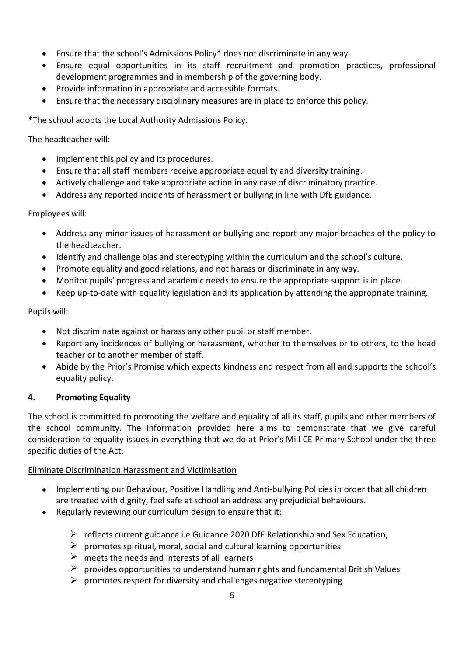- Ensure that the school's Admissions Policy\* does not discriminate in any way.
- Ensure equal opportunities in its staff recruitment and promotion practices, professional development programmes and in membership of the governing body.
- Provide information in appropriate and accessible formats.
- Ensure that the necessary disciplinary measures are in place to enforce this policy.

\*The school adopts the Local Authority Admissions Policy.

The headteacher will:

- Implement this policy and its procedures.
- Ensure that all staff members receive appropriate equality and diversity training.
- Actively challenge and take appropriate action in any case of discriminatory practice.
- Address any reported incidents of harassment or bullying in line with DfE guidance.

#### Employees will:

- Address any minor issues of harassment or bullying and report any major breaches of the policy to the headteacher.
- Identify and challenge bias and stereotyping within the curriculum and the school's culture.
- Promote equality and good relations, and not harass or discriminate in any way.
- Monitor pupils' progress and academic needs to ensure the appropriate support is in place.
- Keep up-to-date with equality legislation and its application by attending the appropriate training.

#### Pupils will:

- Not discriminate against or harass any other pupil or staff member.
- Report any incidences of bullying or harassment, whether to themselves or to others, to the head teacher or to another member of staff.
- Abide by the Prior's Promise which expects kindness and respect from all and supports the school's equality policy.

#### **4. Promoting Equality**

The school is committed to promoting the welfare and equality of all its staff, pupils and other members of the school community. The information provided here aims to demonstrate that we give careful consideration to equality issues in everything that we do at Prior's Mill CE Primary School under the three specific duties of the Act.

#### Eliminate Discrimination Harassment and Victimisation

- Implementing our Behaviour, Positive Handling and Anti-bullying Policies in order that all children are treated with dignity, feel safe at school an address any prejudicial behaviours.
- Regularly reviewing our curriculum design to ensure that it:
	- $\triangleright$  reflects current guidance i.e Guidance 2020 DfE Relationship and Sex Education,
	- $\triangleright$  promotes spiritual, moral, social and cultural learning opportunities
	- $\triangleright$  meets the needs and interests of all learners
	- $\triangleright$  provides opportunities to understand human rights and fundamental British Values
	- $\triangleright$  promotes respect for diversity and challenges negative stereotyping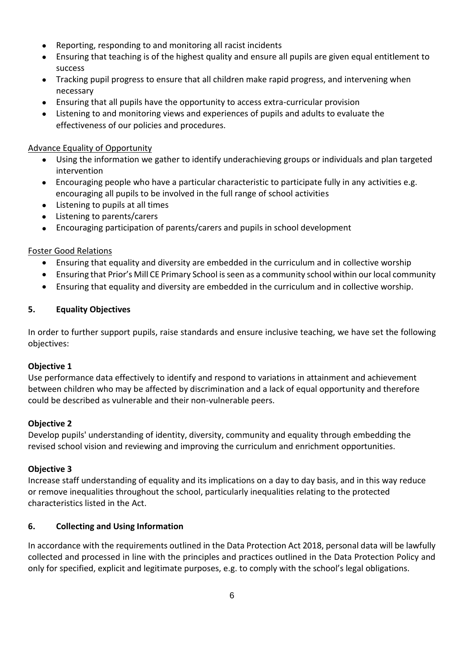- Reporting, responding to and monitoring all racist incidents
- Ensuring that teaching is of the highest quality and ensure all pupils are given equal entitlement to success
- Tracking pupil progress to ensure that all children make rapid progress, and intervening when necessary
- Ensuring that all pupils have the opportunity to access extra-curricular provision
- Listening to and monitoring views and experiences of pupils and adults to evaluate the effectiveness of our policies and procedures.

#### Advance Equality of Opportunity

- Using the information we gather to identify underachieving groups or individuals and plan targeted intervention
- Encouraging people who have a particular characteristic to participate fully in any activities e.g. encouraging all pupils to be involved in the full range of school activities
- Listening to pupils at all times
- Listening to parents/carers
- Encouraging participation of parents/carers and pupils in school development

#### Foster Good Relations

- Ensuring that equality and diversity are embedded in the curriculum and in collective worship
- Ensuring that Prior's Mill CE Primary School is seen as a community school within our local community
- Ensuring that equality and diversity are embedded in the curriculum and in collective worship.

#### **5. Equality Objectives**

In order to further support pupils, raise standards and ensure inclusive teaching, we have set the following objectives:

#### **Objective 1**

Use performance data effectively to identify and respond to variations in attainment and achievement between children who may be affected by discrimination and a lack of equal opportunity and therefore could be described as vulnerable and their non-vulnerable peers.

#### **Objective 2**

Develop pupils' understanding of identity, diversity, community and equality through embedding the revised school vision and reviewing and improving the curriculum and enrichment opportunities.

#### **Objective 3**

Increase staff understanding of equality and its implications on a day to day basis, and in this way reduce or remove inequalities throughout the school, particularly inequalities relating to the protected characteristics listed in the Act.

#### **6. Collecting and Using Information**

In accordance with the requirements outlined in the Data Protection Act 2018, personal data will be lawfully collected and processed in line with the principles and practices outlined in the Data Protection Policy and only for specified, explicit and legitimate purposes, e.g. to comply with the school's legal obligations.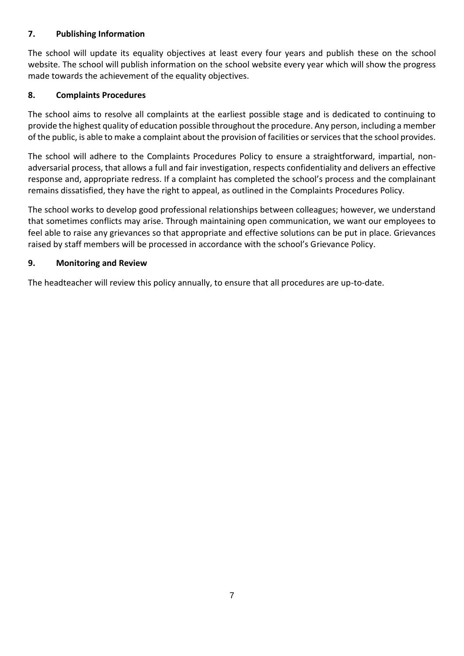#### **7. Publishing Information**

The school will update its equality objectives at least every four years and publish these on the school website. The school will publish information on the school website every year which will show the progress made towards the achievement of the equality objectives.

#### **8. Complaints Procedures**

The school aims to resolve all complaints at the earliest possible stage and is dedicated to continuing to provide the highest quality of education possible throughout the procedure. Any person, including a member of the public, is able to make a complaint about the provision of facilities or services that the school provides.

The school will adhere to the Complaints Procedures Policy to ensure a straightforward, impartial, nonadversarial process, that allows a full and fair investigation, respects confidentiality and delivers an effective response and, appropriate redress. If a complaint has completed the school's process and the complainant remains dissatisfied, they have the right to appeal, as outlined in the Complaints Procedures Policy.

The school works to develop good professional relationships between colleagues; however, we understand that sometimes conflicts may arise. Through maintaining open communication, we want our employees to feel able to raise any grievances so that appropriate and effective solutions can be put in place. Grievances raised by staff members will be processed in accordance with the school's Grievance Policy.

#### **9. Monitoring and Review**

The headteacher will review this policy annually, to ensure that all procedures are up-to-date.